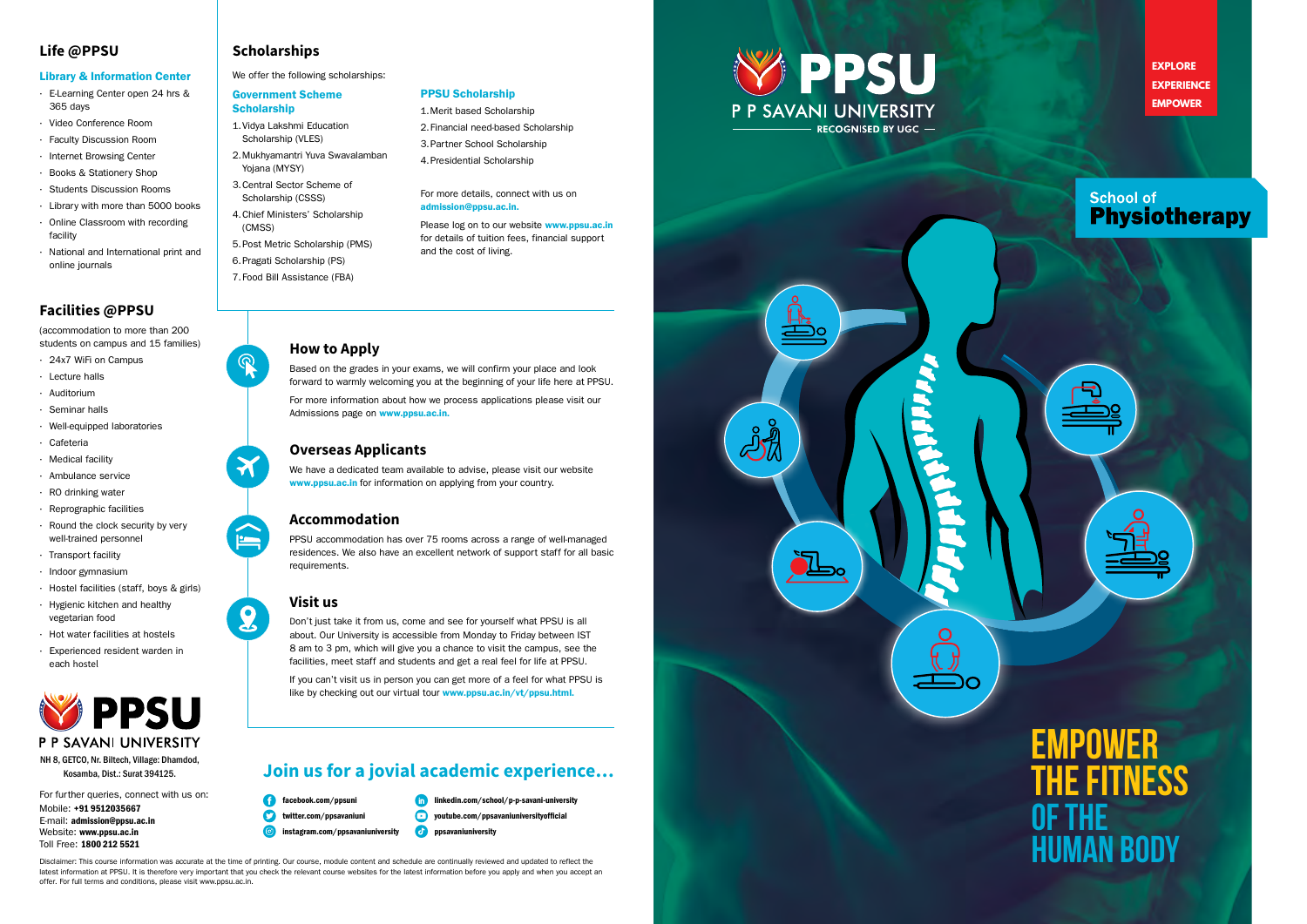**EXPLORE EXPERIENCE EMPOWER**

# **School of Physiotherapy**

# **Life @PPSU**

## Library & Information Center

- • E-Learning Center open 24 hrs & 365 days
- • Video Conference Room
- • Faculty Discussion Room
- • Internet Browsing Center
- • Books & Stationery Shop
- • Students Discussion Rooms
- • Library with more than 5000 books • Online Classroom with recording
- facility
- • National and International print and online journals
- **Scholarship** 1. Vidya Lakshmi Education
- Scholarship (VLES) 2. Mukhyamantri Yuva Swavalamban
- Yojana (MYSY) 3. Central Sector Scheme of Scholarship (CSSS)
- 4. Chief Ministers' Scholarship (CMSS)
- 5. Post Metric Scholarship (PMS)
- 6. Pragati Scholarship (PS)
- 7. Food Bill Assistance (FBA)

## **Scholarships**

We offer the following scholarships:

## Government Scheme

# **Facilities @PPSU**

(accommodation to more than 200 students on campus and 15 families) Please log on to our website **www.ppsu.ac.in** for details of tuition fees, financial support and the cost of living.

• 24x7 WiFi on Campus

For more information about how we process applications please visit our Admissions page on **www.ppsu.ac.in.** 

We have a dedicated team available to advise, please visit our website www.ppsu.ac.in for information on applying from your country.

- • Lecture halls
- • Auditorium
- • Seminar halls
- • Well-equipped laboratories
- • Cafeteria
- • Medical facility
- • Ambulance service
- $\cdot$  RO drinking water
- • Reprographic facilities
- $\cdot$  Round the clock security by very well-trained personnel
- $\cdot$  Transport facility
- • Indoor gymnasium
- · Hostel facilities (staff, boys & girls)
- • Hygienic kitchen and healthy vegetarian food
- • Hot water facilities at hostels
- Experienced resident warden in each hostel



Don't just take it from us, come and see for yourself what PPSU is all about. Our University is accessible from Monday to Friday between IST 8 am to 3 pm, which will give you a chance to visit the campus, see the facilities, meet staff and students and get a real feel for life at PPSU.

If you can't visit us in person you can get more of a feel for what PPSU is like by checking out our virtual tour www.ppsu.ac.in/vt/ppsu.html.

## PPSU Scholarship

- 1. Merit based Scholarship 2. Financial need-based Scholarship
- 3. Partner School Scholarship 4. Presidential Scholarship

#### For more details, connect with us on admission@ppsu.ac.in.

linkedin.com/school/p-p-savani-university  $\bullet$  youtube.com/ppsavaniuniversityofficial  $\theta$  ppsavaniuniversity

# **How to Apply**

Based on the grades in your exams, we will confirm your place and look forward to warmly welcoming you at the beginning of your life here at PPSU.

For further queries, connect with us on: Mobile: +91 9512035667 E-mail: admission@ppsu.ac.in Website: www.ppsu.ac.in Toll Free: 1800 212 5521

## **Overseas Applicants**

## **Accommodation**

PPSU accommodation has over 75 rooms across a range of well-managed residences. We also have an excellent network of support staff for all basic requirements.

## **Visit us**









# **Join us for a jovial academic experience…**

- facebook.com/ppsuni
- **twitter.com/ppsavaniuni**



#### NH 8, GETCO, Nr. Biltech, Village: Dhamdod, Kosamba, Dist.: Surat 394125.

**Empower The Fitness of The Human Body**